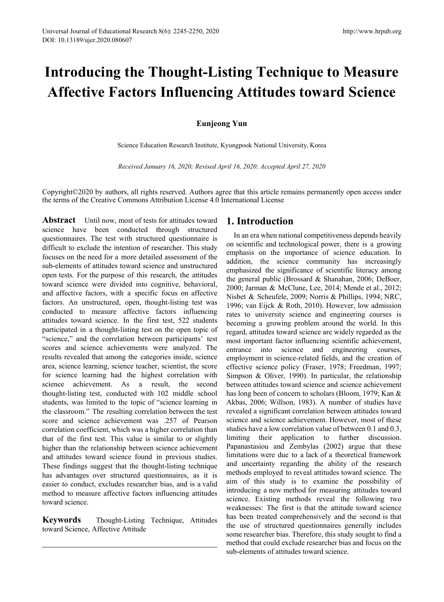# **Introducing the Thought-Listing Technique to Measure Affective Factors Influencing Attitudes toward Science**

## **Eunjeong Yun**

Science Education Research Institute, Kyungpook National University, Korea

*Received January 16, 2020; Revised April 16, 2020; Accepted April 27, 2020*

Copyright©2020 by authors, all rights reserved. Authors agree that this article remains permanently open access under the terms of the Creative Commons Attribution License 4.0 International License

Abstract Until now, most of tests for attitudes toward science have been conducted through structured questionnaires. The test with structured questionnaire is difficult to exclude the intention of researcher. This study focuses on the need for a more detailed assessment of the sub-elements of attitudes toward science and unstructured open tests. For the purpose of this research, the attitudes toward science were divided into cognitive, behavioral, and affective factors, with a specific focus on affective factors. An unstructured, open, thought-listing test was conducted to measure affective factors influencing attitudes toward science. In the first test, 522 students participated in a thought-listing test on the open topic of "science," and the correlation between participants' test scores and science achievements were analyzed. The results revealed that among the categories inside, science area, science learning, science teacher, scientist, the score for science learning had the highest correlation with science achievement. As a result, the second thought-listing test, conducted with 102 middle school students, was limited to the topic of "science learning in the classroom." The resulting correlation between the test score and science achievement was .257 of Pearson correlation coefficient, which was a higher correlation than that of the first test. This value is similar to or slightly higher than the relationship between science achievement and attitudes toward science found in previous studies. These findings suggest that the thought-listing technique has advantages over structured questionnaires, as it is easier to conduct, excludes researcher bias, and is a valid method to measure affective factors influencing attitudes toward science.

**Keywords** Thought-Listing Technique, Attitudes toward Science, Affective Attitude

# **1. Introduction**

In an era when national competitiveness depends heavily on scientific and technological power, there is a growing emphasis on the importance of science education. In addition, the science community has increasingly emphasized the significance of scientific literacy among the general public (Brossard & Shanahan, 2006; DeBoer, 2000; Jarman & McClune, Lee, 2014; Mende et al., 2012; Nisbet & Scheufele, 2009; Norris & Phillips, 1994; NRC, 1996; van Eijck & Roth, 2010). However, low admission rates to university science and engineering courses is becoming a growing problem around the world. In this regard, attitudes toward science are widely regarded as the most important factor influencing scientific achievement, entrance into science and engineering courses, employment in science-related fields, and the creation of effective science policy (Fraser, 1978; Freedman, 1997; Simpson & Oliver, 1990). In particular, the relationship between attitudes toward science and science achievement has long been of concern to scholars (Bloom, 1979; Kan & Akbas, 2006; Willson, 1983). A number of studies have revealed a significant correlation between attitudes toward science and science achievement. However, most of these studies have a low correlation value of between 0.1 and 0.3, limiting their application to further discussion. Papanastasiou and Zembylas (2002) argue that these limitations were due to a lack of a theoretical framework and uncertainty regarding the ability of the research methods employed to reveal attitudes toward science. The aim of this study is to examine the possibility of introducing a new method for measuring attitudes toward science. Existing methods reveal the following two weaknesses: The first is that the attitude toward science has been treated comprehensively and the second is that the use of structured questionnaires generally includes some researcher bias. Therefore, this study sought to find a method that could exclude researcher bias and focus on the sub-elements of attitudes toward science.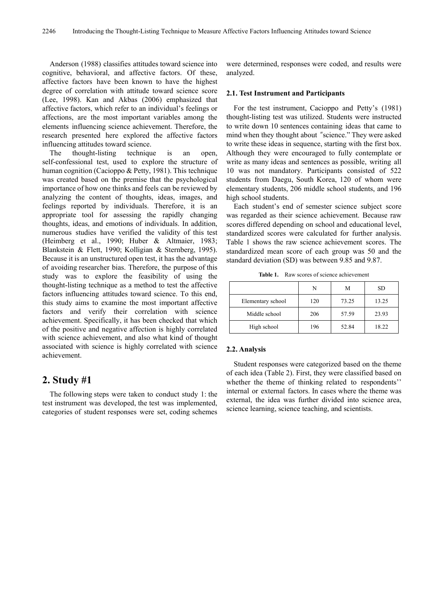Anderson (1988) classifies attitudes toward science into cognitive, behavioral, and affective factors. Of these, affective factors have been known to have the highest degree of correlation with attitude toward science score (Lee, 1998). Kan and Akbas (2006) emphasized that affective factors, which refer to an individual's feelings or affections, are the most important variables among the elements influencing science achievement. Therefore, the research presented here explored the affective factors influencing attitudes toward science.

The thought-listing technique is an open, self-confessional test, used to explore the structure of human cognition (Cacioppo & Petty, 1981). This technique was created based on the premise that the psychological importance of how one thinks and feels can be reviewed by analyzing the content of thoughts, ideas, images, and feelings reported by individuals. Therefore, it is an appropriate tool for assessing the rapidly changing thoughts, ideas, and emotions of individuals. In addition, numerous studies have verified the validity of this test (Heimberg et al., 1990; Huber & Altmaier, 1983; Blankstein & Flett, 1990; Kolligian & Sternberg, 1995). Because it is an unstructured open test, it has the advantage of avoiding researcher bias. Therefore, the purpose of this study was to explore the feasibility of using the thought-listing technique as a method to test the affective factors influencing attitudes toward science. To this end, this study aims to examine the most important affective factors and verify their correlation with science achievement. Specifically, it has been checked that which of the positive and negative affection is highly correlated with science achievement, and also what kind of thought associated with science is highly correlated with science achievement.

## **2. Study #1**

The following steps were taken to conduct study 1: the test instrument was developed, the test was implemented, categories of student responses were set, coding schemes

were determined, responses were coded, and results were analyzed.

#### **2.1. Test Instrument and Participants**

For the test instrument, Cacioppo and Petty's (1981) thought-listing test was utilized. Students were instructed to write down 10 sentences containing ideas that came to mind when they thought about "science." They were asked to write these ideas in sequence, starting with the first box. Although they were encouraged to fully contemplate or write as many ideas and sentences as possible, writing all 10 was not mandatory. Participants consisted of 522 students from Daegu, South Korea, 120 of whom were elementary students, 206 middle school students, and 196 high school students.

Each student's end of semester science subject score was regarded as their science achievement. Because raw scores differed depending on school and educational level, standardized scores were calculated for further analysis. Table 1 shows the raw science achievement scores. The standardized mean score of each group was 50 and the standard deviation (SD) was between 9.85 and 9.87.

**Table 1.** Raw scores of science achievement

|                   | N   | М     | SD    |
|-------------------|-----|-------|-------|
| Elementary school | 120 | 73.25 | 13.25 |
| Middle school     | 206 | 57.59 | 23.93 |
| High school       | 196 | 52.84 | 18.22 |

#### **2.2. Analysis**

Student responses were categorized based on the theme of each idea (Table 2). First, they were classified based on whether the theme of thinking related to respondents'' internal or external factors. In cases where the theme was external, the idea was further divided into science area, science learning, science teaching, and scientists.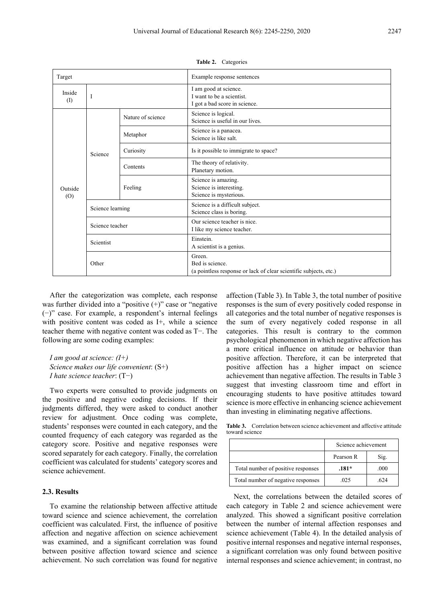| Target          |                  |                   | Example response sentences                                                                     |  |  |
|-----------------|------------------|-------------------|------------------------------------------------------------------------------------------------|--|--|
| Inside<br>$($ I | I                |                   | I am good at science.<br>I want to be a scientist.<br>I got a bad score in science.            |  |  |
| Outside<br>(0)  | Science          | Nature of science | Science is logical.<br>Science is useful in our lives.                                         |  |  |
|                 |                  | Metaphor          | Science is a panacea.<br>Science is like salt.                                                 |  |  |
|                 |                  | Curiosity         | Is it possible to immigrate to space?                                                          |  |  |
|                 |                  | Contents          | The theory of relativity.<br>Planetary motion.                                                 |  |  |
|                 |                  | Feeling           | Science is amazing.<br>Science is interesting.<br>Science is mysterious.                       |  |  |
|                 | Science learning |                   | Science is a difficult subject.<br>Science class is boring.                                    |  |  |
|                 | Science teacher  |                   | Our science teacher is nice.<br>I like my science teacher.                                     |  |  |
|                 | Scientist        |                   | Einstein.<br>A scientist is a genius.                                                          |  |  |
|                 | Other            |                   | Green.<br>Bed is science.<br>(a pointless response or lack of clear scientific subjects, etc.) |  |  |

**Table 2.** Categories

After the categorization was complete, each response was further divided into a "positive  $(+)$ " case or "negative (−)" case. For example, a respondent's internal feelings with positive content was coded as I+, while a science teacher theme with negative content was coded as T−. The following are some coding examples:

*I am good at science: (I+) Science makes our life convenient*: (S+) *I hate science teacher*: (T−)

Two experts were consulted to provide judgments on the positive and negative coding decisions. If their judgments differed, they were asked to conduct another review for adjustment. Once coding was complete, students' responses were counted in each category, and the counted frequency of each category was regarded as the category score. Positive and negative responses were scored separately for each category. Finally, the correlation coefficient was calculated for students' category scores and science achievement.

## **2.3. Results**

To examine the relationship between affective attitude toward science and science achievement, the correlation coefficient was calculated. First, the influence of positive affection and negative affection on science achievement was examined, and a significant correlation was found between positive affection toward science and science achievement. No such correlation was found for negative

affection (Table 3). In Table 3, the total number of positive responses is the sum of every positively coded response in all categories and the total number of negative responses is the sum of every negatively coded response in all categories. This result is contrary to the common psychological phenomenon in which negative affection has a more critical influence on attitude or behavior than positive affection. Therefore, it can be interpreted that positive affection has a higher impact on science achievement than negative affection. The results in Table 3 suggest that investing classroom time and effort in encouraging students to have positive attitudes toward science is more effective in enhancing science achievement than investing in eliminating negative affections.

**Table 3.** Correlation between science achievement and affective attitude toward science

|                                    | Science achievement |      |  |  |
|------------------------------------|---------------------|------|--|--|
|                                    | Pearson R           | Sig. |  |  |
| Total number of positive responses | $.181*$             | .000 |  |  |
| Total number of negative responses | .025                | -624 |  |  |

Next, the correlations between the detailed scores of each category in Table 2 and science achievement were analyzed. This showed a significant positive correlation between the number of internal affection responses and science achievement (Table 4). In the detailed analysis of positive internal responses and negative internal responses, a significant correlation was only found between positive internal responses and science achievement; in contrast, no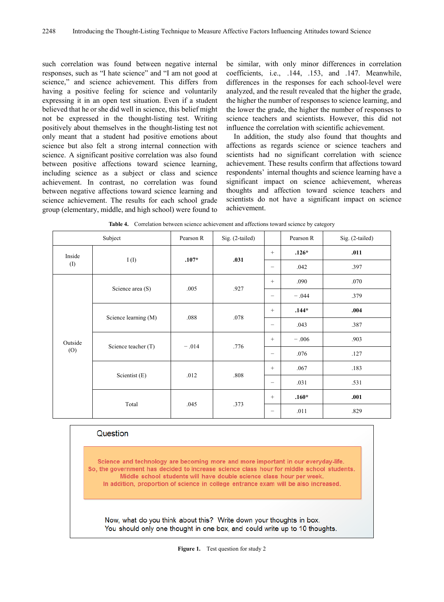such correlation was found between negative internal responses, such as "I hate science" and "I am not good at science," and science achievement. This differs from having a positive feeling for science and voluntarily expressing it in an open test situation. Even if a student believed that he or she did well in science, this belief might not be expressed in the thought-listing test. Writing positively about themselves in the thought-listing test not only meant that a student had positive emotions about science but also felt a strong internal connection with science. A significant positive correlation was also found between positive affections toward science learning, including science as a subject or class and science achievement. In contrast, no correlation was found between negative affections toward science learning and science achievement. The results for each school grade group (elementary, middle, and high school) were found to

be similar, with only minor differences in correlation coefficients, i.e., .144, .153, and .147. Meanwhile, differences in the responses for each school-level were analyzed, and the result revealed that the higher the grade, the higher the number of responses to science learning, and the lower the grade, the higher the number of responses to science teachers and scientists. However, this did not influence the correlation with scientific achievement.

In addition, the study also found that thoughts and affections as regards science or science teachers and scientists had no significant correlation with science achievement. These results confirm that affections toward respondents' internal thoughts and science learning have a significant impact on science achievement, whereas thoughts and affection toward science teachers and scientists do not have a significant impact on science achievement.

| Subject        |                      | Pearson R | Sig. (2-tailed) |                          | Pearson R | Sig. (2-tailed) |
|----------------|----------------------|-----------|-----------------|--------------------------|-----------|-----------------|
| Inside<br>(1)  |                      | $.107*$   | .031            | $\qquad \qquad +$        | $.126*$   | .011            |
|                | I(I)                 |           |                 | $\overline{\phantom{0}}$ | .042      | .397            |
| Outside<br>(0) | Science area (S)     | .005      | .927            | $\qquad \qquad +$        | .090      | .070            |
|                |                      |           |                 | $\overline{\phantom{m}}$ | $-.044$   | .379            |
|                | Science learning (M) | .088      | .078            | $+$                      | $.144*$   | .004            |
|                |                      |           |                 | $\overline{\phantom{0}}$ | .043      | .387            |
|                | Science teacher (T)  | $-.014$   | .776            | $\qquad \qquad +$        | $-.006$   | .903            |
|                |                      |           |                 | $\overline{\phantom{m}}$ | .076      | .127            |
|                | Scientist (E)        | .012      | .808            | $\qquad \qquad +$        | .067      | .183            |
|                |                      |           |                 | $\overline{\phantom{m}}$ | .031      | .531            |
|                | Total                | .045      | .373            | $\qquad \qquad +$        | $.160*$   | .001            |
|                |                      |           |                 | $\overline{\phantom{0}}$ | .011      | .829            |

**Table 4.** Correlation between science achievement and affections toward science by category

#### Question

Science and technology are becoming more and more important in our everyday-life. So, the government has decided to increase science class hour for middle school students. Middle school students will have double science class hour per week. In addition, proportion of science in college entrance exam will be also increased.

Now, what do you think about this? Write down your thoughts in box. You should only one thought in one box, and could write up to 10 thoughts.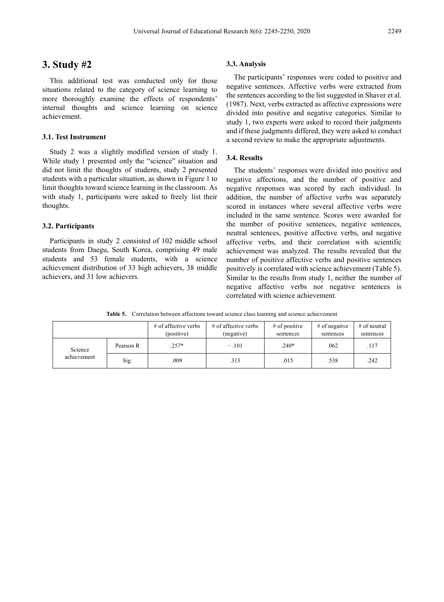# **3. Study #2**

This additional test was conducted only for those situations related to the category of science learning to more thoroughly examine the effects of respondents' internal thoughts and science learning on science achievement.

## **3.1. Test Instrument**

Study 2 was a slightly modified version of study 1. While study 1 presented only the "science" situation and did not limit the thoughts of students, study 2 presented students with a particular situation, as shown in Figure 1 to limit thoughts toward science learning in the classroom. As with study 1, participants were asked to freely list their thoughts.

#### **3.2. Participants**

Participants in study 2 consisted of 102 middle school students from Daegu, South Korea, comprising 49 male students and 53 female students, with a science achievement distribution of 33 high achievers, 38 middle achievers, and 31 low achievers.

#### **3.3. Analysis**

The participants' responses were coded to positive and negative sentences. Affective verbs were extracted from the sentences according to the list suggested in Shaver et al. (1987). Next, verbs extracted as affective expressions were divided into positive and negative categories. Similar to study 1, two experts were asked to record their judgments and if these judgments differed, they were asked to conduct a second review to make the appropriate adjustments.

## **3.4. Results**

The students' responses were divided into positive and negative affections, and the number of positive and negative responses was scored by each individual. In addition, the number of affective verbs was separately scored in instances where several affective verbs were included in the same sentence. Scores were awarded for the number of positive sentences, negative sentences, neutral sentences, positive affective verbs, and negative affective verbs, and their correlation with scientific achievement was analyzed. The results revealed that the number of positive affective verbs and positive sentences positively is correlated with science achievement (Table 5). Similar to the results from study 1, neither the number of negative affective verbs nor negative sentences is correlated with science achievement.

**Table 5.** Correlation between affections toward science class learning and science achievement

|                        |           | $\#$ of affective verbs<br>(positive) | $#$ of affective verbs<br>(negative) | $#$ of positive<br>sentences | $#$ of negative<br>sentences | $#$ of neutral<br>sentences |
|------------------------|-----------|---------------------------------------|--------------------------------------|------------------------------|------------------------------|-----------------------------|
| Science<br>achievement | Pearson R | $.257*$                               | $-.101$                              | $.240*$                      | .062                         | .117                        |
|                        | Sig.      | .009                                  | .313                                 | .015                         | .538                         | .242                        |